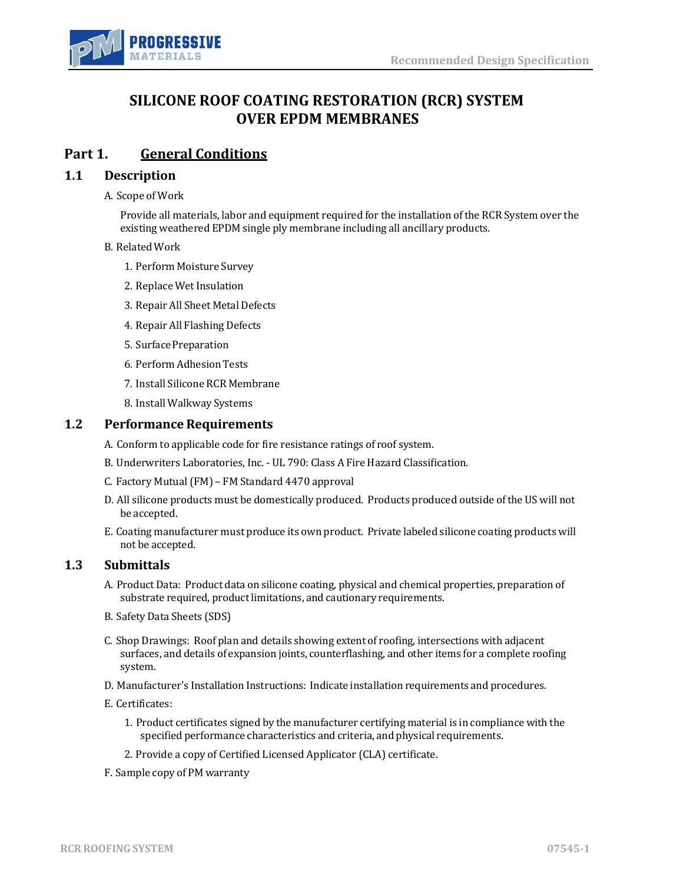

## **SILICONE ROOF COATING RESTORATION (RCR) SYSTEM OVER EPDM MEMBRANES**

## **Part 1. General Conditions**

### **1.1 Description**

A. Scope of Work

Provide all materials, labor and equipment required for the installation of the RCR System over the existing weathered EPDM single ply membrane including all ancillary products.

#### B. RelatedWork

- 1. Perform Moisture Survey
- 2. Replace Wet Insulation
- 3. Repair All Sheet Metal Defects
- 4. Repair All Flashing Defects
- 5. Surface Preparation
- 6. Perform Adhesion Tests
- 7. Install Silicone RCR Membrane
- 8. Install Walkway Systems

### **1.2** Performance Requirements

A. Conform to applicable code for fire resistance ratings of roof system.

- B. Underwriters Laboratories, Inc. UL 790: Class A Fire Hazard Classification.
- C. Factory Mutual(FM) FM Standard 4470 approval
- D. All silicone products must be domestically produced. Products produced outside of the US will not be accepted.
- E. Coating manufacturer must produce its own product. Private labeled silicone coating products will not be accepted.

## **1.3 Submittals**

- A. Product Data: Product data on silicone coating, physical and chemical properties, preparation of substrate required, product limitations, and cautionary requirements.
- B. Safety Data Sheets (SDS)
- C. Shop Drawings: Roof plan and details showing extent of roofing, intersections with adjacent surfaces, and details of expansion joints, counterflashing, and other items for a complete roofing system.
- D. Manufacturer's Installation Instructions: Indicate installation requirements and procedures.
- E. Certificates:
	- 1. Product certificates signed by the manufacturer certifying material is in compliance with the specified performance characteristics and criteria, and physical requirements.
	- 2. Provide a copy of Certified Licensed Applicator (CLA) certificate.
- F. Sample copy of PM warranty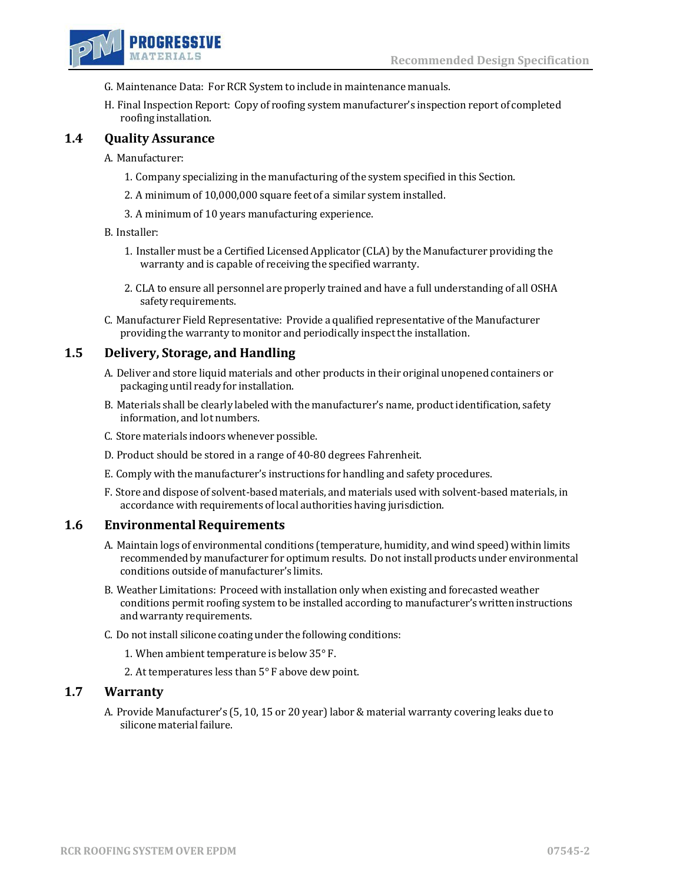

- G. Maintenance Data: For RCR System to include in maintenance manuals.
- H. Final Inspection Report: Copy of roofing system manufacturer's inspection report of completed roofing installation.

## **1.4 Quality Assurance**

A. Manufacturer:

- 1. Company specializing in the manufacturing of the system specified in this Section.
- 2. A minimum of 10,000,000 square feet of a similar system installed.
- 3. A minimum of 10 years manufacturing experience.

#### B. Installer:

- 1. Installer must be a Certified Licensed Applicator (CLA) by the Manufacturer providing the warranty and is capable of receiving the specified warranty.
- 2. CLA to ensure all personnel are properly trained and have a full understanding of all OSHA safetyrequirements.
- C. Manufacturer Field Representative: Provide a qualified representative ofthe Manufacturer providing the warranty to monitor and periodically inspect the installation.

## **1.5 Delivery, Storage, and Handling**

- A. Deliver and store liquid materials and other products in their original unopened containers or packaging until ready for installation.
- B. Materials shall be clearly labeled with the manufacturer's name, product identification, safety information, and lot numbers.
- C. Store materials indoors whenever possible.
- D. Product should be stored in a range of 40-80 degrees Fahrenheit.
- E. Comply with the manufacturer's instructions for handling and safety procedures.
- F. Store and dispose of solvent-based materials, and materials used with solvent-based materials, in accordance with requirements of local authorities having jurisdiction.

### **1.6 Environmental Requirements**

- A. Maintain logs of environmental conditions (temperature, humidity, and wind speed) within limits recommended by manufacturer for optimum results. Do not install products under environmental conditions outside of manufacturer's limits.
- B. Weather Limitations: Proceed with installation only when existing and forecasted weather conditions permit roofing system to be installed according to manufacturer's written instructions and warranty requirements.
- C. Do not install silicone coating under the following conditions:
	- 1. When ambient temperature is below 35° F.
	- 2. At temperatures less than 5° F above dew point.

#### **1.7 Warranty**

A. Provide Manufacturer's (5, 10, 15 or 20 year) labor & material warranty covering leaks due to silicone material failure.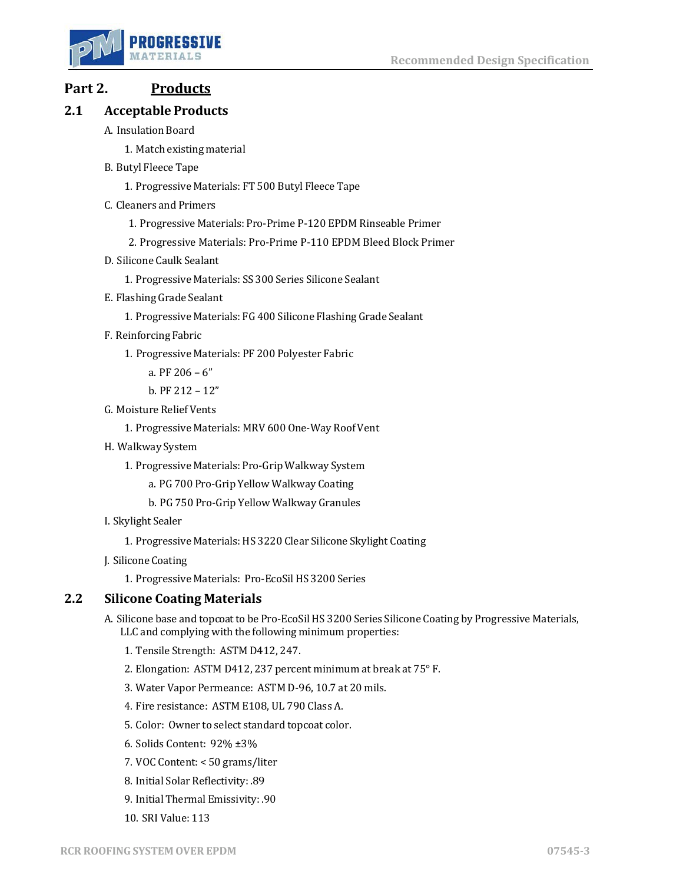

# **Part 2. Products**

## **2.1 Acceptable Products**

- A. Insulation Board
	- 1. Match existing material
- B. Butyl Fleece Tape
	- 1. Progressive Materials: FT 500 Butyl Fleece Tape
- C. Cleaners and Primers
	- 1. Progressive Materials: Pro-Prime P-120 EPDM Rinseable Primer
	- 2. Progressive Materials: Pro-Prime P-110 EPDM Bleed Block Primer
- D. Silicone Caulk Sealant
	- 1. Progressive Materials: SS 300 Series Silicone Sealant
- E. Flashing Grade Sealant
	- 1. Progressive Materials: FG 400 Silicone Flashing Grade Sealant
- F. ReinforcingFabric
	- 1. Progressive Materials: PF 200 Polyester Fabric
		- a. PF 206 6"
		- b. PF 212 12"
- G. Moisture Relief Vents
	- 1. Progressive Materials: MRV 600 One-Way Roof Vent
- H. Walkway System
	- 1. Progressive Materials: Pro-Grip Walkway System
		- a. PG 700 Pro-Grip Yellow Walkway Coating
		- b. PG 750 Pro-Grip Yellow Walkway Granules
- I. Skylight Sealer
	- 1. Progressive Materials: HS 3220 Clear Silicone Skylight Coating
- J. Silicone Coating
	- 1. Progressive Materials: Pro-EcoSil HS 3200 Series

## **2.2 Silicone Coating Materials**

- A. Silicone base and topcoat to be Pro-EcoSil HS 3200 Series Silicone Coating by Progressive Materials, LLC and complying with the following minimum properties:
	- 1. Tensile Strength: ASTM D412, 247.
	- 2. Elongation: ASTM D412, 237 percent minimum at break at 75° F.
	- 3. Water Vapor Permeance: ASTM D-96, 10.7 at 20 mils.
	- 4. Fire resistance: ASTM E108, UL 790 Class A.
	- 5. Color: Owner to select standard topcoat color.
	- 6. Solids Content: 92% ±3%
	- 7. VOC Content: < 50 grams/liter
	- 8. Initial Solar Reflectivity: .89
	- 9. Initial Thermal Emissivity: .90
	- 10. SRI Value: 113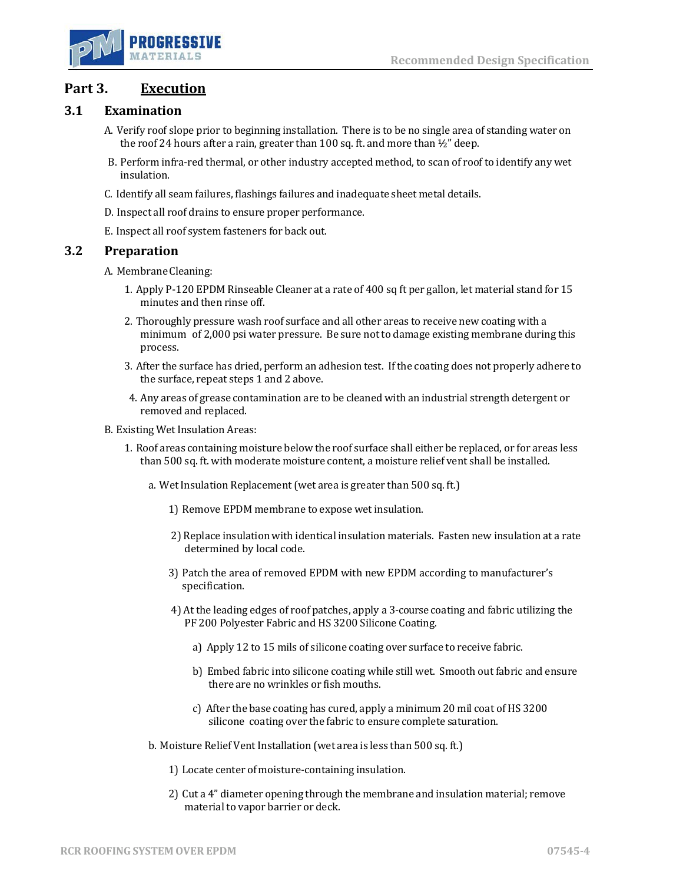

## **Part 3. Execution**

## **3.1 Examination**

- A. Verify roof slope prior to beginning installation. There is to be no single area of standing water on the roof 24 hours after a rain, greater than 100 sq. ft. and more than  $\frac{1}{2}$ " deep.
- B. Perform infra-red thermal, or other industry accepted method, to scan of roof to identify any wet insulation.
- C. Identify all seam failures, flashings failures and inadequate sheet metal details.
- D. Inspect all roof drains to ensure proper performance.
- E. Inspect all roof system fasteners for back out.

### **3.2 Preparation**

- A. MembraneCleaning:
	- 1. Apply P-120 EPDM Rinseable Cleaner at a rate of 400 sq ft per gallon, let material stand for 15 minutes and then rinse off.
	- 2. Thoroughly pressure wash roof surface and all other areas to receive new coating with a minimum of 2,000 psi water pressure. Be sure not to damage existing membrane during this process.
	- 3. After the surface has dried, perform an adhesion test. If the coating does not properly adhere to the surface, repeat steps 1 and 2 above.
	- 4. Any areas of grease contamination are to be cleaned with an industrial strength detergent or removed and replaced.
- B. Existing Wet Insulation Areas:
	- 1. Roof areas containing moisture below the roof surface shall either be replaced, or for areas less than 500 sq. ft. with moderate moisture content, a moisture relief vent shall be installed.
		- a. Wet Insulation Replacement(wet area is greater than 500 sq. ft.)
			- 1) Remove EPDM membrane to expose wet insulation.
			- 2) Replace insulation with identical insulation materials. Fasten new insulation at a rate determined by local code.
			- 3) Patch the area of removed EPDM with new EPDM according to manufacturer's specification.
			- 4) At the leading edges of roof patches, apply a 3-course coating and fabric utilizing the PF 200 Polyester Fabric and HS 3200 Silicone Coating.
				- a) Apply 12 to 15 mils of silicone coating over surface to receive fabric.
				- b) Embed fabric into silicone coating while still wet. Smooth out fabric and ensure there are no wrinkles or fish mouths.
				- c) After the base coating has cured, apply a minimum 20 mil coat of HS 3200 silicone coating over the fabric to ensure complete saturation.
		- b. Moisture Relief Vent Installation (wet area is less than 500 sq. ft.)
			- 1) Locate center of moisture-containing insulation.
			- 2) Cut a 4" diameter opening through the membrane and insulation material; remove material to vapor barrier or deck.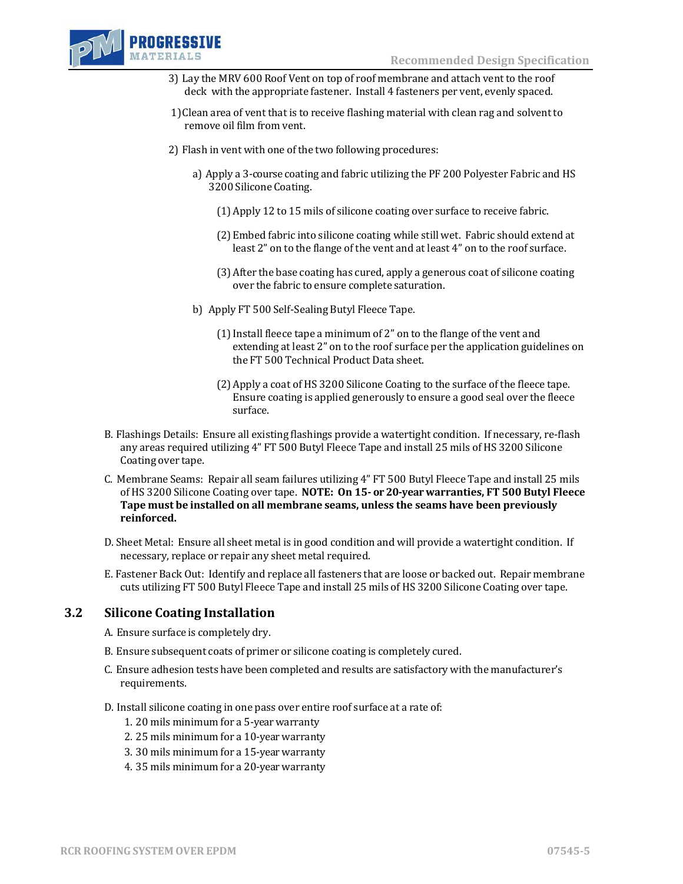

- 3) Lay the MRV 600 Roof Vent on top of roof membrane and attach vent to the roof deck with the appropriate fastener. Install 4 fasteners per vent, evenly spaced.
- 1)Clean area of vent that is to receive flashing material with clean rag and solvent to remove oil film from vent.
- 2) Flash in vent with one of the two following procedures:
	- a) Apply a 3-course coating and fabric utilizing the PF 200 Polyester Fabric and HS 3200 Silicone Coating.
		- (1)Apply 12 to 15 mils of silicone coating over surface to receive fabric.
		- (2)Embed fabric into silicone coating while still wet. Fabric should extend at least 2" on to the flange of the vent and at least 4" on to the roof surface.
		- (3)After the base coating has cured, apply a generous coat of silicone coating over the fabric to ensure complete saturation.
	- b) Apply FT 500 Self-Sealing Butyl Fleece Tape.
		- (1)Install fleece tape a minimum of 2" on to the flange of the vent and extending at least 2" on to the roof surface per the application guidelines on the FT 500 Technical Product Data sheet.
		- (2)Apply a coat of HS 3200 Silicone Coating to the surface of the fleece tape. Ensure coating is applied generously to ensure a good seal over the fleece surface.
- B. Flashings Details: Ensure all existing flashings provide a watertight condition. If necessary, re-flash any areas required utilizing 4" FT 500 Butyl Fleece Tape and install 25 mils of HS 3200 Silicone Coating over tape.
- C. Membrane Seams: Repair all seam failures utilizing 4" FT 500 Butyl Fleece Tape and install 25 mils of HS 3200 Silicone Coating over tape. **NOTE: On 15- or 20-year warranties, FT 500 Butyl Fleece Tape must be installed on all membrane seams, unless the seams have been previously reinforced.**
- D. Sheet Metal: Ensure all sheet metal is in good condition and will provide a watertight condition. If necessary, replace or repair any sheet metal required.
- E. Fastener Back Out: Identify and replace all fasteners that are loose or backed out. Repair membrane cuts utilizing FT 500 Butyl Fleece Tape and install 25 mils of HS 3200 Silicone Coating over tape.

### **3.2 Silicone Coating Installation**

- A. Ensure surface is completely dry.
- B. Ensure subsequent coats of primer or silicone coating is completely cured.
- C. Ensure adhesion tests have been completed and results are satisfactory with the manufacturer's requirements.
- D. Install silicone coating in one pass over entire roof surface at a rate of:
	- 1. 20 mils minimum for a 5-year warranty
	- 2. 25 mils minimum for a 10-year warranty
	- 3. 30 mils minimum for a 15-year warranty
	- 4. 35 mils minimum for a 20-year warranty